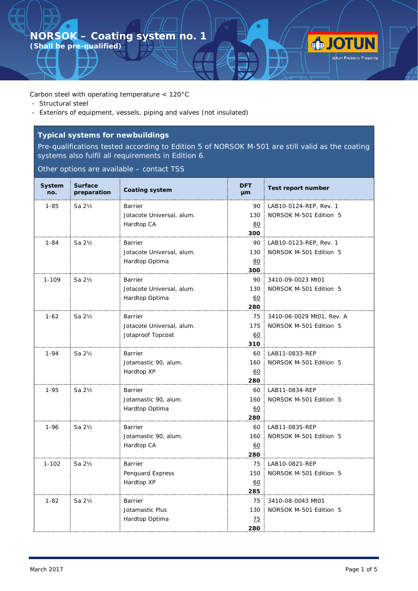**(Shall be pre-qualified)**

 $\bullet$ 

Carbon steel with operating temperature < 120°C

- Structural steel
- Exteriors of equipment, vessels, piping and valves (not insulated)

# **Typical systems for newbuildings**

Pre-qualifications tested according to Edition 5 of NORSOK M-501 are still valid as the coating systems also fulfil all requirements in Edition 6.

Other options are available – contact TSS

| System<br>no. | <b>Surface</b><br>preparation | <b>Coating system</b>     | <b>DFT</b><br><b>µm</b> | <b>Test report number</b> |
|---------------|-------------------------------|---------------------------|-------------------------|---------------------------|
| $1 - 85$      | Sa 21/2                       | Barrier                   | 90                      | LAB10-0124-REP, Rev. 1    |
|               |                               | Jotacote Universal, alum. | 130                     | NORSOK M-501 Edition 5    |
|               |                               | Hardtop CA                | 80                      |                           |
|               |                               |                           | 300                     |                           |
| $1 - 84$      | Sa 21/2                       | Barrier                   | 90                      | LAB10-0123-REP, Rev. 1    |
|               |                               | Jotacote Universal, alum. | 130                     | NORSOK M-501 Edition 5    |
|               |                               | Hardtop Optima            | 80                      |                           |
|               |                               |                           | 300                     |                           |
| 1-109         | Sa 21/2                       | Barrier                   | 90                      | 3410-09-0023 Mt01         |
|               |                               | Jotacote Universal, alum. | 130                     | NORSOK M-501 Edition 5    |
|               |                               | Hardtop Optima            | <u>60</u>               |                           |
|               |                               |                           | 280                     |                           |
| $1-62$        | Sa 21/ <sub>2</sub>           | Barrier                   | 75                      | 3410-06-0029 Mt01, Rev. A |
|               |                               | Jotacote Universal, alum. | 175                     | NORSOK M-501 Edition 5    |
|               |                               | Jotaproof Topcoat         | 60                      |                           |
|               |                               |                           | 310                     |                           |
| $1 - 94$      | Sa $2\frac{1}{2}$             | Barrier                   | 60                      | LAB11-0833-REP            |
|               |                               | Jotamastic 90, alum.      | 160                     | NORSOK M-501 Edition 5    |
|               |                               | Hardtop XP                | 60                      |                           |
| 1-95          | Sa 2½                         | Barrier                   | 280<br>60               | LAB11-0834-REP            |
|               |                               | Jotamastic 90, alum.      | 160                     | NORSOK M-501 Edition 5    |
|               |                               | Hardtop Optima            | 60                      |                           |
|               |                               |                           | 280                     |                           |
| $1 - 96$      | Sa 21/2                       | <b>Barrier</b>            | 60                      | LAB11-0835-REP            |
|               |                               | Jotamastic 90, alum.      | 160                     | NORSOK M-501 Edition 5    |
|               |                               | Hardtop CA                | 60                      |                           |
|               |                               |                           | 280                     |                           |
| $1 - 102$     | Sa $2\frac{1}{2}$             | <b>Barrier</b>            | 75                      | LAB10-0821-REP            |
|               |                               | Penguard Express          | 150                     | NORSOK M-501 Edition 5    |
|               |                               | Hardtop XP                | 60                      |                           |
|               |                               |                           | 285                     |                           |
| $1 - 82$      | Sa 21/2                       | Barrier                   | 75                      | 3410-08-0043 Mt01         |
|               |                               | Jotamastic Plus           | 130                     | NORSOK M-501 Edition 5    |
|               |                               | Hardtop Optima            | <u>75</u>               |                           |
|               |                               |                           | 280                     |                           |

**JOTUN**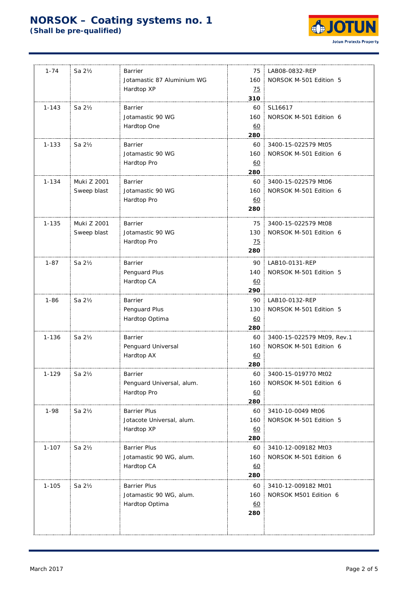

| $1 - 74$  | Sa $2\frac{1}{2}$ | Barrier                    | 75              | LAB08-0832-REP             |
|-----------|-------------------|----------------------------|-----------------|----------------------------|
|           |                   | Jotamastic 87 Aluminium WG | 160             | NORSOK M-501 Edition 5     |
|           |                   | Hardtop XP                 | <u>75</u>       |                            |
|           |                   |                            | 310             |                            |
| $1 - 143$ | Sa 21/2           | <b>Barrier</b>             | 60              | SL16617                    |
|           |                   | Jotamastic 90 WG           | 160             | NORSOK M-501 Edition 6     |
|           |                   | Hardtop One                | 60              |                            |
|           |                   |                            | 280             |                            |
| $1 - 133$ | Sa $2\frac{1}{2}$ | Barrier                    | 60              | 3400-15-022579 Mt05        |
|           |                   | Jotamastic 90 WG           | 160             | NORSOK M-501 Edition 6     |
|           |                   | Hardtop Pro                | <u>60</u>       |                            |
|           |                   |                            | 280             |                            |
| $1 - 134$ | Muki Z 2001       | Barrier                    | 60              | 3400-15-022579 Mt06        |
|           | Sweep blast       | Jotamastic 90 WG           | 160             | NORSOK M-501 Edition 6     |
|           |                   | Hardtop Pro                | 60              |                            |
|           |                   |                            | 280             |                            |
| $1 - 135$ | Muki Z 2001       | Barrier                    | 75              | 3400-15-022579 Mt08        |
|           | Sweep blast       | Jotamastic 90 WG           | 130             | NORSOK M-501 Edition 6     |
|           |                   | Hardtop Pro                | $\overline{25}$ |                            |
|           |                   |                            | 280             |                            |
| $1 - 87$  | Sa $2\frac{1}{2}$ | Barrier                    | 90              | LAB10-0131-REP             |
|           |                   | Penguard Plus              | 140             | NORSOK M-501 Edition 5     |
|           |                   | Hardtop CA                 | 60              |                            |
|           |                   |                            | 290             |                            |
| $1 - 86$  | Sa 21/2           | Barrier                    | 90              | LAB10-0132-REP             |
|           |                   | Penguard Plus              | 130             | NORSOK M-501 Edition 5     |
|           |                   | Hardtop Optima             | 60              |                            |
|           |                   |                            | 280             |                            |
| $1 - 136$ | Sa 21/2           | <b>Barrier</b>             | 60              | 3400-15-022579 Mt09, Rev.1 |
|           |                   | Penguard Universal         | 160             | NORSOK M-501 Edition 6     |
|           |                   | Hardtop AX                 | <u>60</u>       |                            |
|           |                   |                            | 280             |                            |
| 1-129     | Sa 21/2           | Barrier                    | 60              | 3400-15-019770 Mt02        |
|           |                   | Penguard Universal, alum.  | 160             | NORSOK M-501 Edition 6     |
|           |                   | Hardtop Pro                | 60              |                            |
| $1 - 98$  | Sa 21/2           | <b>Barrier Plus</b>        | 280             | 3410-10-0049 Mt06          |
|           |                   | Jotacote Universal, alum.  | 60<br>160       | NORSOK M-501 Edition 5     |
|           |                   | Hardtop XP                 | <u>60</u>       |                            |
|           |                   |                            | 280             |                            |
| $1 - 107$ | Sa 21/2           | <b>Barrier Plus</b>        | 60              | 3410-12-009182 Mt03        |
|           |                   | Jotamastic 90 WG, alum.    | 160             | NORSOK M-501 Edition 6     |
|           |                   | Hardtop CA                 | 60              |                            |
|           |                   |                            | 280             |                            |
| $1 - 105$ | Sa 21/2           | <b>Barrier Plus</b>        | 60              | 3410-12-009182 Mt01        |
|           |                   | Jotamastic 90 WG, alum.    | 160             | NORSOK M501 Edition 6      |
|           |                   | Hardtop Optima             | 60              |                            |
|           |                   |                            | 280             |                            |
|           |                   |                            |                 |                            |
|           |                   |                            |                 |                            |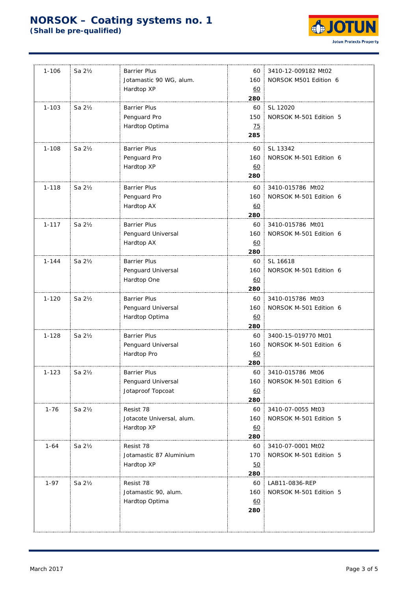

| $1 - 106$ | Sa $2\frac{1}{2}$ | <b>Barrier Plus</b>       | 60              | 3410-12-009182 Mt02                        |
|-----------|-------------------|---------------------------|-----------------|--------------------------------------------|
|           |                   | Jotamastic 90 WG, alum.   | 160             | NORSOK M501 Edition 6                      |
|           |                   | Hardtop XP                | 60              |                                            |
|           |                   |                           | 280             |                                            |
| $1 - 103$ | Sa $2\frac{1}{2}$ | <b>Barrier Plus</b>       | 60              | SL 12020                                   |
|           |                   | Penguard Pro              | 150             | NORSOK M-501 Edition 5                     |
|           |                   | Hardtop Optima            | $\overline{25}$ |                                            |
|           |                   |                           | 285             |                                            |
| $1 - 108$ | Sa $2\frac{1}{2}$ | <b>Barrier Plus</b>       | 60              | SL 13342                                   |
|           |                   | Penguard Pro              | 160             | NORSOK M-501 Edition 6                     |
|           |                   | Hardtop XP                | 60              |                                            |
|           |                   |                           | 280             |                                            |
| $1 - 118$ | Sa $2\frac{1}{2}$ | <b>Barrier Plus</b>       | 60              | 3410-015786 Mt02                           |
|           |                   | Penguard Pro              | 160             | NORSOK M-501 Edition 6                     |
|           |                   | Hardtop AX                | 60              |                                            |
|           |                   |                           | 280             |                                            |
| $1 - 117$ | Sa $2\frac{1}{2}$ | <b>Barrier Plus</b>       | 60              | 3410-015786 Mt01                           |
|           |                   | Penguard Universal        | 160             | NORSOK M-501 Edition 6                     |
|           |                   | Hardtop AX                | 60              |                                            |
|           |                   |                           | 280             |                                            |
| 1-144     | Sa 21/2           | <b>Barrier Plus</b>       | 60              | SL 16618                                   |
|           |                   | Penguard Universal        | 160             | NORSOK M-501 Edition 6                     |
|           |                   | Hardtop One               | 60              |                                            |
|           |                   |                           | 280             |                                            |
| $1 - 120$ | Sa 21/2           | <b>Barrier Plus</b>       | 60              | 3410-015786 Mt03                           |
|           |                   | Penguard Universal        | 160             | NORSOK M-501 Edition 6                     |
|           |                   | Hardtop Optima            | 60              |                                            |
|           |                   |                           | 280             |                                            |
| $1 - 128$ | Sa $2\frac{1}{2}$ | <b>Barrier Plus</b>       | 60              | 3400-15-019770 Mt01                        |
|           |                   | Penguard Universal        | 160             | NORSOK M-501 Edition 6                     |
|           |                   | Hardtop Pro               | 60              |                                            |
|           |                   |                           | 280             |                                            |
| $1 - 123$ | Sa $2\frac{1}{2}$ | <b>Barrier Plus</b>       | 60<br>160       | 3410-015786 Mt06<br>NORSOK M-501 Edition 6 |
|           |                   | Penguard Universal        |                 |                                            |
|           |                   | Jotaproof Topcoat         | 60<br>280       |                                            |
| $1 - 76$  | Sa 21/2           | Resist 78                 | 60              | 3410-07-0055 Mt03                          |
|           |                   | Jotacote Universal, alum. | 160             | NORSOK M-501 Edition 5                     |
|           |                   | Hardtop XP                | 60              |                                            |
|           |                   |                           | 280             |                                            |
| $1 - 64$  | Sa 21/2           | Resist 78                 | 60              | 3410-07-0001 Mt02                          |
|           |                   | Jotamastic 87 Aluminium   | 170             | NORSOK M-501 Edition 5                     |
|           |                   | Hardtop XP                | 50              |                                            |
|           |                   |                           | 280             |                                            |
| $1 - 97$  | Sa $2\frac{1}{2}$ | Resist 78                 | 60              | LAB11-0836-REP                             |
|           |                   | Jotamastic 90, alum.      | 160             | NORSOK M-501 Edition 5                     |
|           |                   | Hardtop Optima            | 60              |                                            |
|           |                   |                           | 280             |                                            |
|           |                   |                           |                 |                                            |
|           |                   |                           |                 |                                            |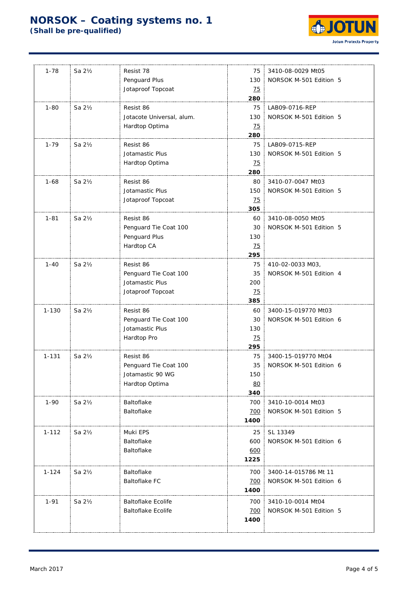

| $1 - 78$  | Sa 2½               | Resist 78                 | 75              | 3410-08-0029 Mt05      |
|-----------|---------------------|---------------------------|-----------------|------------------------|
|           |                     | Penguard Plus             | 130             | NORSOK M-501 Edition 5 |
|           |                     | Jotaproof Topcoat         | <u>75</u>       |                        |
|           |                     |                           | 280             |                        |
| $1 - 80$  | Sa 21/2             | Resist 86                 | 75              | LAB09-0716-REP         |
|           |                     | Jotacote Universal, alum. | 130:            | NORSOK M-501 Edition 5 |
|           |                     | Hardtop Optima            | $\overline{25}$ |                        |
|           |                     |                           | 280             |                        |
| $1 - 79$  | Sa 21/2             | Resist 86                 | 75              | LAB09-0715-REP         |
|           |                     | Jotamastic Plus           | 130             | NORSOK M-501 Edition 5 |
|           |                     | Hardtop Optima            | 25              |                        |
|           |                     |                           | 280             |                        |
| $1 - 68$  | Sa 21/ <sub>2</sub> | Resist 86                 | 80              | 3410-07-0047 Mt03      |
|           |                     | Jotamastic Plus           | 150             | NORSOK M-501 Edition 5 |
|           |                     | Jotaproof Topcoat         | 25              |                        |
|           |                     |                           | 305             |                        |
| $1 - 81$  | Sa 21/2             | Resist 86                 | 60              | 3410-08-0050 Mt05      |
|           |                     | Penguard Tie Coat 100     | 30              | NORSOK M-501 Edition 5 |
|           |                     | Penguard Plus             | 130             |                        |
|           |                     | Hardtop CA                | 25              |                        |
|           |                     |                           | 295             |                        |
| $1 - 40$  | Sa 21/2             | Resist 86                 | 75              | 410-02-0033 M03,       |
|           |                     | Penguard Tie Coat 100     | 35              | NORSOK M-501 Edition 4 |
|           |                     | Jotamastic Plus           | 200             |                        |
|           |                     | Jotaproof Topcoat         | $\overline{25}$ |                        |
|           |                     |                           | 385             |                        |
| $1 - 130$ | Sa 21/ <sub>2</sub> | Resist 86                 | 60              | 3400-15-019770 Mt03    |
|           |                     | Penguard Tie Coat 100     | 30              | NORSOK M-501 Edition 6 |
|           |                     | Jotamastic Plus           | 130             |                        |
|           |                     | Hardtop Pro               | $\overline{25}$ |                        |
|           |                     |                           | 295             |                        |
| $1 - 131$ | Sa 21/2             | Resist 86                 | 75              | 3400-15-019770 Mt04    |
|           |                     | Penguard Tie Coat 100     | 35              | NORSOK M-501 Edition 6 |
|           |                     | Jotamastic 90 WG          | 150             |                        |
|           |                     | Hardtop Optima            | 80              |                        |
|           |                     |                           | 340             |                        |
| $1 - 90$  | Sa 2½               | Baltoflake                | 700             | 3410-10-0014 Mt03      |
|           |                     | Baltoflake                | 700             | NORSOK M-501 Edition 5 |
|           |                     |                           | 1400            |                        |
| $1 - 112$ | Sa 2½               | Muki EPS                  | 25              | SL 13349               |
|           |                     | Baltoflake                | 600             | NORSOK M-501 Edition 6 |
|           |                     | Baltoflake                | 600             |                        |
|           |                     |                           | 1225            |                        |
|           |                     |                           |                 |                        |
| 1-124     | Sa 2½               | Baltoflake                | 700             | 3400-14-015786 Mt 11   |
|           |                     | <b>Baltoflake FC</b>      | 700             | NORSOK M-501 Edition 6 |
|           |                     |                           | 1400            |                        |
| $1 - 91$  | Sa 21/ <sub>2</sub> | <b>Baltoflake Ecolife</b> | 700             | 3410-10-0014 Mt04      |
|           |                     | <b>Baltoflake Ecolife</b> | 700             | NORSOK M-501 Edition 5 |
|           |                     |                           | 1400            |                        |
|           |                     |                           |                 |                        |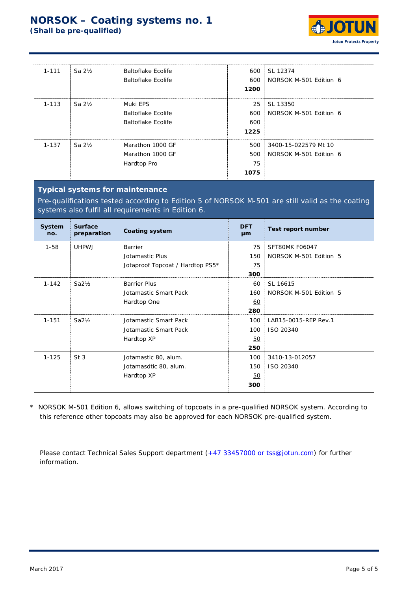

| $1 - 111$ | Sa $2\frac{1}{2}$ | Baltoflake Ecolife<br>Baltoflake Ecolife                    | 600<br>600<br>1200       | <b>SL 12374</b><br>NORSOK M-501 Edition 6          |
|-----------|-------------------|-------------------------------------------------------------|--------------------------|----------------------------------------------------|
| $1 - 113$ | Sa $2\frac{1}{2}$ | Muki EPS<br>Baltoflake Ecolife<br><b>Baltoflake Ecolife</b> | 25<br>600<br>600<br>1225 | SL 13350<br>NORSOK M-501 Edition 6                 |
| $1 - 137$ | $Sa2$ %           | Marathon 1000 GF<br>Marathon 1000 GF<br>Hardtop Pro         | 500<br>75<br>1075        | 500 3400-15-022579 Mt 10<br>NORSOK M-501 Edition 6 |

### **Typical systems for maintenance**

Pre-qualifications tested according to Edition 5 of NORSOK M-501 are still valid as the coating systems also fulfil all requirements in Edition 6.

| System<br>no. | <b>Surface</b><br>preparation | <b>Coating system</b>            | <b>DFT</b><br>µm | Test report number     |
|---------------|-------------------------------|----------------------------------|------------------|------------------------|
| $1 - 58$      | UHPW J                        | Barrier                          | 75               | SFT80MK F06047         |
|               |                               | Jotamastic Plus                  | 150              | NORSOK M-501 Edition 5 |
|               |                               | Jotaproof Topcoat / Hardtop PS5* | $-75$            |                        |
|               |                               |                                  | 300              |                        |
| $1 - 142$     | $Sa2\frac{1}{2}$              | <b>Barrier Plus</b>              | 60               | SL 16615               |
|               |                               | Jotamastic Smart Pack            | 160              | NORSOK M-501 Edition 5 |
|               |                               | Hardtop One                      | 60               |                        |
|               |                               |                                  | 280              |                        |
| $1 - 151$     | $Sa2\frac{1}{2}$              | Jotamastic Smart Pack            | 100              | LAB15-0015-REP Rev.1   |
|               |                               | Jotamastic Smart Pack            | 100              | ISO 20340              |
|               |                               | Hardtop XP                       | <u>50</u>        |                        |
|               |                               |                                  | 250              |                        |
| $1 - 125$     | St <sub>3</sub>               | Jotamastic 80, alum.             | 100              | 3410-13-012057         |
|               |                               | Jotamasdtic 80, alum.            | 150              | ISO 20340              |
|               |                               | Hardtop XP                       | 50               |                        |
|               |                               |                                  | 300              |                        |

\* NORSOK M-501 Edition 6, allows switching of topcoats in a pre-qualified NORSOK system. According to this reference other topcoats may also be approved for each NORSOK pre-qualified system.

Please contact Technical Sales Support department [\(+47 33457000 or tss@jotun.com\)](mailto:+47%2033457000%20or%20tss@jotun.com) for further information.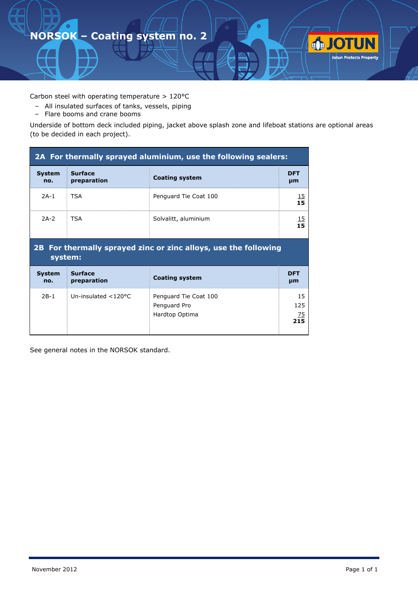Carbon steel with operating temperature > 120°C

- All insulated surfaces of tanks, vessels, piping
- Flare booms and crane booms

Underside of bottom deck included piping, jacket above splash zone and lifeboat stations are optional areas (to be decided in each project).

| 2A For thermally sprayed aluminium, use the following sealers: |                               |                                                                 |                        |  |  |
|----------------------------------------------------------------|-------------------------------|-----------------------------------------------------------------|------------------------|--|--|
| <b>System</b><br>no.                                           | <b>Surface</b><br>preparation | <b>Coating system</b>                                           | <b>DFT</b><br>µm       |  |  |
| $2A-1$                                                         | <b>TSA</b>                    | Penguard Tie Coat 100                                           | $\frac{15}{15}$        |  |  |
| $2A-2$                                                         | <b>TSA</b>                    | Solvalitt, aluminium                                            | $\frac{15}{15}$        |  |  |
| system:                                                        |                               | 2B For thermally sprayed zinc or zinc alloys, use the following |                        |  |  |
| <b>System</b><br>no.                                           | <b>Surface</b><br>preparation | <b>Coating system</b>                                           | <b>DFT</b><br>µm       |  |  |
| $2B-1$                                                         | Un-insulated $<$ 120°C        | Penguard Tie Coat 100<br>Penguard Pro<br>Hardtop Optima         | 15<br>125<br>75<br>215 |  |  |

See general notes in the NORSOK standard.

**JOTUN**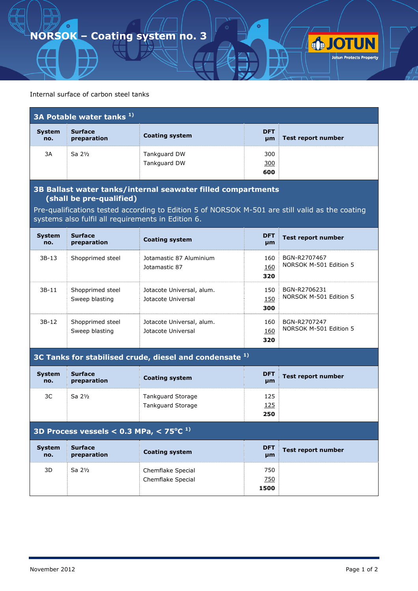

| $\overline{a}$ 3A Potable water tanks $\overline{a}$ ) |                               |                              |                   |                    |
|--------------------------------------------------------|-------------------------------|------------------------------|-------------------|--------------------|
| <b>System</b><br>no.                                   | <b>Surface</b><br>preparation | <b>Coating system</b>        | <b>DFT</b><br>µm  | Test report number |
| 3A                                                     | Sa $2\frac{1}{2}$             | Tankguard DW<br>Tankguard DW | 300<br>300<br>600 |                    |

#### **3B Ballast water tanks/internal seawater filled compartments (shall be pre-qualified)**

Pre-qualifications tested according to Edition 5 of NORSOK M-501 are still valid as the coating systems also fulfil all requirements in Edition 6.

| <b>System</b><br>no. | <b>Surface</b><br>preparation      | <b>Coating system</b>                           | <b>DFT</b><br>µm  | Test report number                     |
|----------------------|------------------------------------|-------------------------------------------------|-------------------|----------------------------------------|
| $3B-13$              | Shopprimed steel                   | Jotamastic 87 Aluminium<br>Jotamastic 87        | 160<br>160<br>320 | BGN-R2707467<br>NORSOK M-501 Edition 5 |
| $3B-11$              | Shopprimed steel<br>Sweep blasting | Jotacote Universal, alum.<br>Jotacote Universal | 150<br>150<br>300 | BGN-R2706231<br>NORSOK M-501 Edition 5 |
| 3B-12                | Shopprimed steel<br>Sweep blasting | Jotacote Universal, alum.<br>Jotacote Universal | 160<br>160<br>320 | BGN-R2707247<br>NORSOK M-501 Edition 5 |

**3C Tanks for stabilised crude, diesel and condensate 1)**

| <b>System</b><br>no. | <b>Surface</b><br>preparation | <b>Coating system</b>    | <b>DFT</b><br>µm | Test report number |
|----------------------|-------------------------------|--------------------------|------------------|--------------------|
| 3C                   | Sa 2½                         | <b>Tankguard Storage</b> | 125              |                    |
|                      |                               | Tankguard Storage        | <u> 125</u>      |                    |
|                      |                               |                          | 250              |                    |

#### **3D Process vessels < 0.3 MPa, < 75<sup>o</sup> C 1)**

| <b>System</b><br>no. | <b>Surface</b><br>preparation | <b>Coating system</b>                  | <b>DFT</b><br>µm   | <b>Test report number</b> |
|----------------------|-------------------------------|----------------------------------------|--------------------|---------------------------|
| 3D                   | Sa $2\frac{1}{2}$             | Chemflake Special<br>Chemflake Special | 750<br>750<br>1500 |                           |

**OTUN**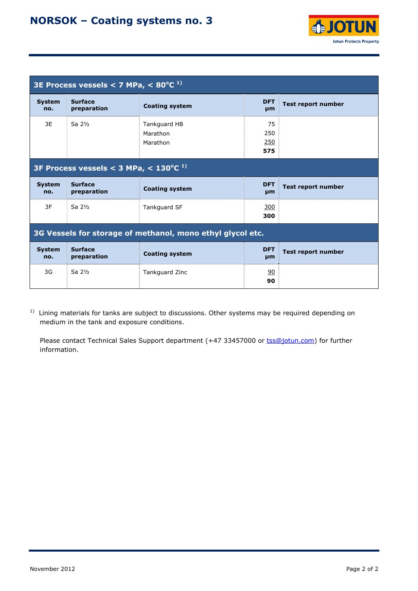

| 3E Process vessels < 7 MPa, $\leq 80^{\circ}$ C <sup>1)</sup> |                                                       |                                      |                         |                           |  |  |
|---------------------------------------------------------------|-------------------------------------------------------|--------------------------------------|-------------------------|---------------------------|--|--|
| <b>System</b><br>no.                                          | <b>Surface</b><br>preparation                         | <b>Coating system</b>                | <b>DFT</b><br>µm        | <b>Test report number</b> |  |  |
| 3E                                                            | Sa $2\frac{1}{2}$                                     | Tankguard HB<br>Marathon<br>Marathon | 75<br>250<br>250<br>575 |                           |  |  |
|                                                               | 3F Process vessels $<$ 3 MPa, $<$ 130°C <sup>1)</sup> |                                      |                         |                           |  |  |
| <b>System</b><br>no.                                          | <b>Surface</b><br>preparation                         | <b>Coating system</b>                | <b>DFT</b><br>µm        | <b>Test report number</b> |  |  |
| 3F                                                            | Sa $2\frac{1}{2}$                                     | Tankguard SF                         | 300<br>300              |                           |  |  |
| 3G Vessels for storage of methanol, mono ethyl glycol etc.    |                                                       |                                      |                         |                           |  |  |
| <b>System</b><br>no.                                          | <b>Surface</b><br>preparation                         | <b>Coating system</b>                | <b>DFT</b><br>µm        | <b>Test report number</b> |  |  |
| 3G                                                            | Sa $2\frac{1}{2}$                                     | <b>Tankguard Zinc</b>                | 90<br>90                |                           |  |  |

<sup>1)</sup> Lining materials for tanks are subject to discussions. Other systems may be required depending on medium in the tank and exposure conditions.

Please contact Technical Sales Support department (+47 33457000 or tss@jotun.com) for further information.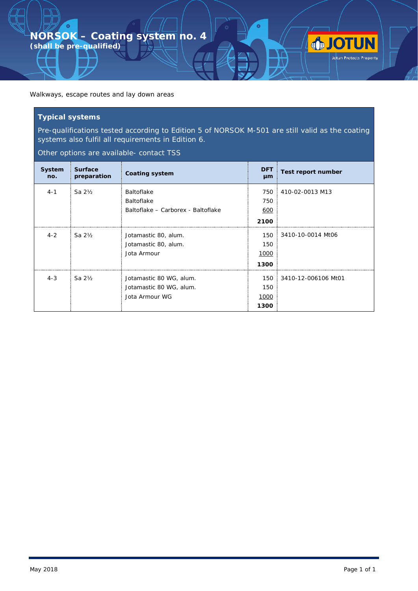Walkways, escape routes and lay down areas

#### **Typical systems**

 $\bullet$ 

Pre-qualifications tested according to Edition 5 of NORSOK M-501 are still valid as the coating systems also fulfil all requirements in Edition 6.

o

**OTUN** 

Other options are available- contact TSS

| System<br>no. | <b>Surface</b><br>preparation | <b>Coating system</b>              | <b>DFT</b><br>µm | Test report number  |
|---------------|-------------------------------|------------------------------------|------------------|---------------------|
| $4 - 1$       | Sa $2\frac{1}{2}$             | <b>Baltoflake</b>                  | 750              | 410-02-0013 M13     |
|               |                               | <b>Baltoflake</b>                  | 750              |                     |
|               |                               | Baltoflake - Carborex - Baltoflake | 600              |                     |
|               |                               |                                    | 2100             |                     |
| $4 - 2$       | Sa $2\frac{1}{2}$             | Jotamastic 80, alum.               | 150              | 3410-10-0014 Mt06   |
|               |                               | Jotamastic 80, alum.               | 150              |                     |
|               |                               | Jota Armour                        | 1000             |                     |
|               |                               |                                    | 1300             |                     |
| $4 - 3$       | Sa $2\frac{1}{2}$             | Jotamastic 80 WG, alum.            | 150              | 3410-12-006106 Mt01 |
|               |                               | Jotamastic 80 WG, alum.            | 150              |                     |
|               |                               | Jota Armour WG                     | 1000             |                     |
|               |                               |                                    | 1300             |                     |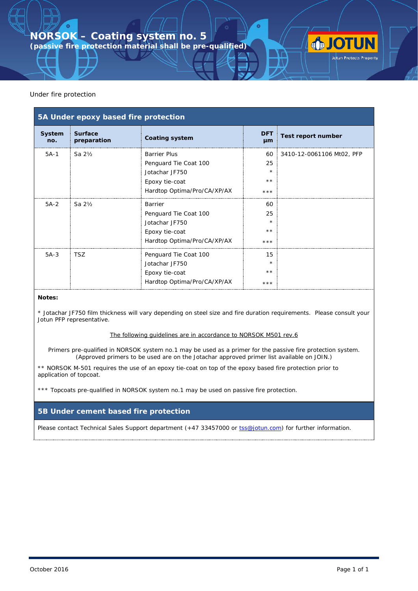**(passive fire protection material shall be pre-qualified)**

#### Under fire protection

| 5A Under epoxy based fire protection |                               |                                                                                                                 |                                       |                           |  |
|--------------------------------------|-------------------------------|-----------------------------------------------------------------------------------------------------------------|---------------------------------------|---------------------------|--|
| System<br>no.                        | <b>Surface</b><br>preparation | <b>Coating system</b>                                                                                           | <b>DFT</b><br>µm                      | Test report number        |  |
| $5A-1$                               | Sa $2\frac{1}{2}$             | <b>Barrier Plus</b><br>Penguard Tie Coat 100<br>Jotachar JF750<br>Epoxy tie-coat<br>Hardtop Optima/Pro/CA/XP/AX | 60<br>25<br>$\star$<br>$* *$<br>$***$ | 3410-12-0061106 Mt02, PFP |  |
| $5A-2$                               | Sa $2\frac{1}{2}$             | Barrier<br>Penguard Tie Coat 100<br>Jotachar JF750<br>Epoxy tie-coat<br>Hardtop Optima/Pro/CA/XP/AX             | 60<br>25<br>$\star$<br>$**$<br>***    |                           |  |
| $5A-3$                               | <b>TSZ</b>                    | Penguard Tie Coat 100<br>Jotachar JF750<br>Epoxy tie-coat<br>Hardtop Optima/Pro/CA/XP/AX                        | 15<br>$\star$<br>$**$<br>***          |                           |  |

#### **Notes:**

\* Jotachar JF750 film thickness will vary depending on steel size and fire duration requirements. Please consult your Jotun PFP representative.

#### The following guidelines are in accordance to NORSOK M501 rev.6

Primers pre-qualified in NORSOK system no.1 may be used as a primer for the passive fire protection system. (Approved primers to be used are on the Jotachar approved primer list available on JOIN.)

\*\* NORSOK M-501 requires the use of an epoxy tie-coat on top of the epoxy based fire protection prior to application of topcoat.

\*\*\* Topcoats pre-qualified in NORSOK system no.1 may be used on passive fire protection.

#### **5B Under cement based fire protection**

Please contact Technical Sales Support department (+47 33457000 or [tss@jotun.com\)](mailto:tss@jotun.com) for further information.

**JOTUN**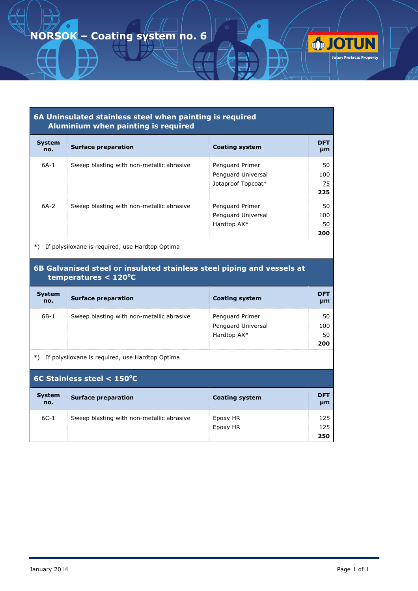|                      | 6A Uninsulated stainless steel when painting is required<br>Aluminium when painting is required |                                                             |                        |
|----------------------|-------------------------------------------------------------------------------------------------|-------------------------------------------------------------|------------------------|
| <b>System</b><br>no. | <b>Surface preparation</b>                                                                      | <b>Coating system</b>                                       | <b>DFT</b><br>µm       |
| $6A-1$               | Sweep blasting with non-metallic abrasive                                                       | Penguard Primer<br>Penguard Universal<br>Jotaproof Topcoat* | 50<br>100<br>75<br>225 |
| $6A-2$               | Sweep blasting with non-metallic abrasive                                                       | Penguard Primer<br>Penguard Universal<br>Hardtop AX*        | 50<br>100<br>50<br>200 |

\*) If polysiloxane is required, use Hardtop Optima

#### **6B Galvanised steel or insulated stainless steel piping and vessels at temperatures < 120<sup>o</sup> C**

| <b>System</b><br>no. | <b>Surface preparation</b>                | <b>Coating system</b>                                | <b>DFT</b><br>µm       |
|----------------------|-------------------------------------------|------------------------------------------------------|------------------------|
| 6B-1                 | Sweep blasting with non-metallic abrasive | Penguard Primer<br>Penguard Universal<br>Hardtop AX* | 50<br>100<br>50<br>200 |

\*) If polysiloxane is required, use Hardtop Optima

| 6C Stainless steel $<$ 150°C |                                           |                       |                   |  |  |
|------------------------------|-------------------------------------------|-----------------------|-------------------|--|--|
| <b>System</b><br>no.         | <b>Surface preparation</b>                | <b>Coating system</b> | <b>DFT</b><br>µm  |  |  |
| $6C-1$                       | Sweep blasting with non-metallic abrasive | Epoxy HR<br>Epoxy HR  | 125<br>125<br>250 |  |  |

**OTUN**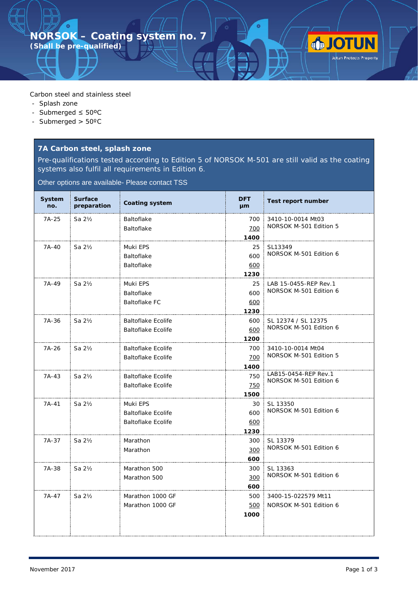Carbon steel and stainless steel

- Splash zone
- Submerged ≤ 50ºC

 $\bullet$ 

- Submerged > 50ºC

#### **7A Carbon steel, splash zone**

Pre-qualifications tested according to Edition 5 of NORSOK M-501 are still valid as the coating systems also fulfil all requirements in Edition 6.

Other options are available- Please contact TSS

| System<br>no. | <b>Surface</b><br>preparation | <b>Coating system</b>     | <b>DFT</b><br>µm | <b>Test report number</b>                       |
|---------------|-------------------------------|---------------------------|------------------|-------------------------------------------------|
| 7A-25         | Sa $2\frac{1}{2}$             | <b>Baltoflake</b>         | 700              | 3410-10-0014 Mt03                               |
|               |                               | Baltoflake                | 700              | NORSOK M-501 Edition 5                          |
|               |                               |                           | 1400             |                                                 |
| 7A-40         | Sa $2\frac{1}{2}$             | Muki EPS                  | 25               | SL13349                                         |
|               |                               | <b>Baltoflake</b>         | 600              | NORSOK M-501 Edition 6                          |
|               |                               | <b>Baltoflake</b>         | 600              |                                                 |
|               |                               |                           | 1230             |                                                 |
| 7A-49         | Sa $2\frac{1}{2}$             | Muki EPS                  | 25               | LAB 15-0455-REP Rev.1<br>NORSOK M-501 Edition 6 |
|               |                               | <b>Baltoflake</b>         | 600              |                                                 |
|               |                               | <b>Baltoflake FC</b>      | 600              |                                                 |
|               |                               | <b>Baltoflake Ecolife</b> | 1230             |                                                 |
| 7A-36         | Sa $2\frac{1}{2}$             | <b>Baltoflake Ecolife</b> | 600<br>600       | SL 12374 / SL 12375<br>NORSOK M-501 Edition 6   |
|               |                               |                           | 1200             |                                                 |
| 7A-26         | Sa 21/2                       | <b>Baltoflake Ecolife</b> | 700              | 3410-10-0014 Mt04                               |
|               |                               | <b>Baltoflake Ecolife</b> | 700              | NORSOK M-501 Edition 5                          |
|               |                               |                           | 1400             |                                                 |
| $7A-43$       | Sa $2\frac{1}{2}$             | Baltoflake Ecolife        | 750              | LAB15-0454-REP Rev.1                            |
|               |                               | <b>Baltoflake Ecolife</b> | 750              | NORSOK M-501 Edition 6                          |
|               |                               |                           | 1500             |                                                 |
| $7A-41$       | Sa $2\frac{1}{2}$             | Muki EPS                  | 30               | SL 13350                                        |
|               |                               | <b>Baltoflake Ecolife</b> | 600              | NORSOK M-501 Edition 6                          |
|               |                               | <b>Baltoflake Ecolife</b> | 600              |                                                 |
|               |                               |                           | 1230             |                                                 |
| 7A-37         | Sa $2\frac{1}{2}$             | Marathon                  | 300              | SL 13379                                        |
|               |                               | Marathon                  | 300              | NORSOK M-501 Edition 6                          |
|               |                               |                           | 600              |                                                 |
| 7A-38         | Sa $2\frac{1}{2}$             | Marathon 500              | 300              | SL 13363                                        |
|               |                               | Marathon 500              | 300              | NORSOK M-501 Edition 6                          |
|               |                               |                           | 600              |                                                 |
| $7A-47$       | Sa 21/2                       | Marathon 1000 GF          | 500              | 3400-15-022579 Mt11                             |
|               |                               | Marathon 1000 GF          | 500              | NORSOK M-501 Edition 6                          |
|               |                               |                           | 1000             |                                                 |
|               |                               |                           |                  |                                                 |

**JOTUN**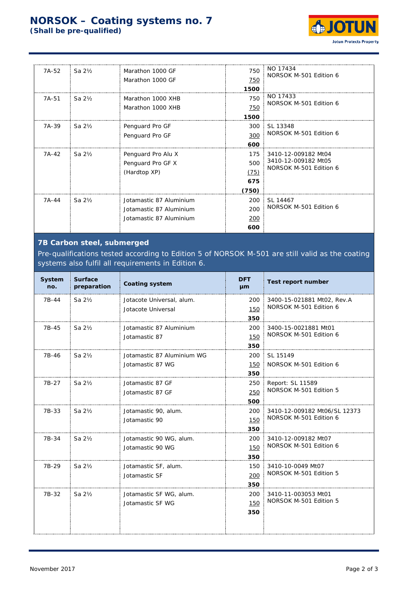

| 7A-52 | Sa $2\frac{1}{2}$ | Marathon 1000 GF<br>Marathon 1000 GF                                          | 750<br>750<br>1500                 | NO 17434<br>NORSOK M-501 Edition 6                                   |
|-------|-------------------|-------------------------------------------------------------------------------|------------------------------------|----------------------------------------------------------------------|
| 7A-51 | Sa $2\frac{1}{2}$ | Marathon 1000 XHB<br>Marathon 1000 XHB                                        | 750<br>750<br>1500                 | NO 17433<br>NORSOK M-501 Edition 6                                   |
| 7A-39 | Sa $2\frac{1}{2}$ | Penguard Pro GF<br>Penguard Pro GF                                            | 300<br>300<br>600                  | SL 13348<br>NORSOK M-501 Edition 6                                   |
| 7A-42 | Sa $2\frac{1}{2}$ | Penguard Pro Alu X<br>Penguard Pro GF X<br>(Hardtop XP)                       | 175<br>500<br>(75)<br>675<br>(750) | 3410-12-009182 Mt04<br>3410-12-009182 Mt05<br>NORSOK M-501 Edition 6 |
| 7A-44 | Sa $2\frac{1}{2}$ | Jotamastic 87 Aluminium<br>Jotamastic 87 Aluminium<br>Jotamastic 87 Aluminium | 200<br>200<br>200<br>600           | SL 14467<br>NORSOK M-501 Edition 6                                   |

### **7B Carbon steel, submerged**

Pre-qualifications tested according to Edition 5 of NORSOK M-501 are still valid as the coating systems also fulfil all requirements in Edition 6.

| System<br>no. | <b>Surface</b><br>preparation | <b>Coating system</b>      | <b>DFT</b><br>µm | Test report number           |
|---------------|-------------------------------|----------------------------|------------------|------------------------------|
| 7B-44         | Sa 21/2                       | Jotacote Universal, alum.  | 200              | 3400-15-021881 Mt02, Rev.A   |
|               |                               | Jotacote Universal         | 150              | NORSOK M-501 Edition 6       |
|               |                               |                            | 350              |                              |
| 7B-45         | Sa 21/2                       | Jotamastic 87 Aluminium    | 200              | 3400-15-0021881 Mt01         |
|               |                               | Jotamastic 87              | 150              | NORSOK M-501 Edition 6       |
|               |                               |                            | 350              |                              |
| 7B-46         | Sa $2\frac{1}{2}$             | Jotamastic 87 Aluminium WG | 200              | SL 15149                     |
|               |                               | Jotamastic 87 WG           | 150              | NORSOK M-501 Edition 6       |
|               |                               |                            | 350              |                              |
| 7B-27         | Sa $2\frac{1}{2}$             | Jotamastic 87 GF           | 250              | Report: SL 11589             |
|               |                               | Jotamastic 87 GF           | 250              | NORSOK M-501 Edition 5       |
|               |                               |                            | 500              |                              |
| 7B-33         | Sa $2\frac{1}{2}$             | Jotamastic 90, alum.       | 200              | 3410-12-009182 Mt06/SL 12373 |
|               |                               | Jotamastic 90              | 150              | NORSOK M-501 Edition 6       |
|               |                               |                            | 350              |                              |
| 7B-34         | Sa 21/2                       | Jotamastic 90 WG, alum.    | 200              | 3410-12-009182 Mt07          |
|               |                               | Jotamastic 90 WG           | 150              | NORSOK M-501 Edition 6       |
|               |                               |                            | 350              |                              |
| 7B-29         | Sa $2\frac{1}{2}$             | Jotamastic SF, alum.       | 150              | 3410-10-0049 Mt07            |
|               |                               | Jotamastic SF              | 200              | NORSOK M-501 Edition 5       |
|               |                               |                            | 350              |                              |
| 7B-32         | Sa $2\frac{1}{2}$             | Jotamastic SF WG, alum.    | 200              | 3410-11-003053 Mt01          |
|               |                               | Jotamastic SF WG           | 150              | NORSOK M-501 Edition 5       |
|               |                               |                            | 350              |                              |
|               |                               |                            |                  |                              |
|               |                               |                            |                  |                              |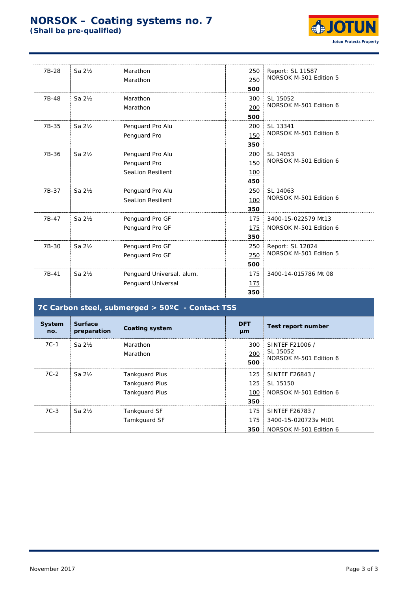

| 7B-28 | Sa $2\frac{1}{2}$ | Marathon                  | 250 | Report: SL 11587<br>NORSOK M-501 Edition 5 |
|-------|-------------------|---------------------------|-----|--------------------------------------------|
|       |                   | Marathon                  | 250 |                                            |
|       |                   |                           | 500 |                                            |
| 7B-48 | Sa $2\frac{1}{2}$ | Marathon                  | 300 | SL 15052                                   |
|       |                   | Marathon                  | 200 | NORSOK M-501 Edition 6                     |
|       |                   |                           | 500 |                                            |
| 7B-35 | Sa $2\frac{1}{2}$ | Penguard Pro Alu          | 200 | SL 13341                                   |
|       |                   | Penguard Pro              | 150 | NORSOK M-501 Edition 6                     |
|       |                   |                           | 350 |                                            |
| 7B-36 | Sa $2\frac{1}{2}$ | Penguard Pro Alu          | 200 | SL 14053                                   |
|       |                   | Penguard Pro              | 150 | NORSOK M-501 Edition 6                     |
|       |                   | <b>SeaLion Resilient</b>  | 100 |                                            |
|       |                   |                           | 450 |                                            |
| 7B-37 | Sa $2\frac{1}{2}$ | Penguard Pro Alu          | 250 | SL 14063                                   |
|       |                   | <b>SeaLion Resilient</b>  | 100 | NORSOK M-501 Edition 6                     |
|       |                   |                           | 350 |                                            |
| 7B-47 | Sa $2\frac{1}{2}$ | Penguard Pro GF           | 175 | 3400-15-022579 Mt13                        |
|       |                   | Penguard Pro GF           | 175 | NORSOK M-501 Edition 6                     |
|       |                   |                           | 350 |                                            |
| 7B-30 | Sa 21/2           | Penguard Pro GF           | 250 | Report: SL 12024                           |
|       |                   | Penguard Pro GF           | 250 | NORSOK M-501 Edition 5                     |
|       |                   |                           | 500 |                                            |
| 7B-41 | Sa $2\frac{1}{2}$ | Penguard Universal, alum. | 175 | 3400-14-015786 Mt 08                       |
|       |                   | Penguard Universal        | 175 |                                            |
|       |                   |                           | 350 |                                            |
|       |                   |                           |     |                                            |

### **7C Carbon steel, submerged > 50ºC - Contact TSS**

| System<br>no. | <b>Surface</b><br>preparation | <b>Coating system</b> | <b>DFT</b><br>µm  | Test report number                                    |
|---------------|-------------------------------|-----------------------|-------------------|-------------------------------------------------------|
| $7C-1$        | Sa <sub>2</sub> b             | Marathon<br>Marathon  | 300<br>200<br>500 | SINTEF F21006 /<br>SL 15052<br>NORSOK M-501 Edition 6 |
| $7C-2$        | Sa 2½                         | <b>Tankguard Plus</b> | 125               | SINTEF F26843 /                                       |
|               |                               | <b>Tankguard Plus</b> |                   | 125   SL 15150                                        |
|               |                               | <b>Tankguard Plus</b> | 100               | NORSOK M-501 Edition 6                                |
|               |                               |                       | 350               |                                                       |
| $7C-3$        | Sa $2\frac{1}{2}$             | Tankguard SF          | 175               | SINTEF F26783/                                        |
|               |                               | Tamkguard SF          | 175               | 3400-15-020723v Mt01                                  |
|               |                               |                       | 350               | NORSOK M-501 Edition 6                                |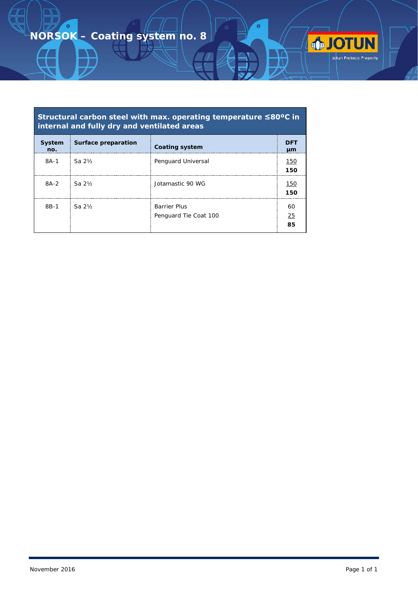$\bullet$ 

## **Structural carbon steel with max. operating temperature ≤80ºC in internal and fully dry and ventilated areas**

 $\bullet$ 

**JOTUN** 

| System<br>no. | Surface preparation | <b>Coating system</b>                        | DFT<br>μm      |
|---------------|---------------------|----------------------------------------------|----------------|
| $8A-1$        | Sa 2½               | Penguard Universal                           | 150<br>150     |
| $8A-2$        | $Sa2$ %             | Jotamastic 90 WG                             | 150<br>150     |
| $8B-1$        | $Sa2$ %             | <b>Barrier Plus</b><br>Penguard Tie Coat 100 | 60<br>25<br>85 |